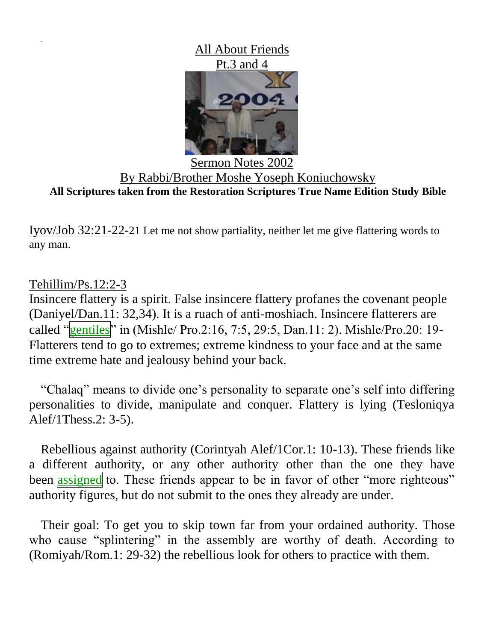All About Friends Pt.3 and 4



Sermon Notes 2002 By Rabbi/Brother Moshe Yoseph Koniuchowsky **All Scriptures taken from the Restoration Scriptures True Name Edition Study Bible**

Iyov/Job 32:21-22-21 Let me not show partiality, neither let me give flattering words to any man.

## Tehillim/Ps.12:2-3

Insincere flattery is a spirit. False insincere flattery profanes the covenant people (Daniyel/Dan.11: 32,34). It is a ruach of anti-moshiach. Insincere flatterers are called "gentiles" in (Mishle/ Pro.2:16, 7:5, 29:5, Dan.11: 2). Mishle/Pro.20: 19-Flatterers tend to go to extremes; extreme kindness to your face and at the same time extreme hate and jealousy behind your back.

"Chalaq" means to divide one's personality to separate one's self into differing personalities to divide, manipulate and conquer. Flattery is lying (Tesloniqya Alef/1Thess.2: 3-5).

Rebellious against authority (Corintyah Alef/1Cor.1: 10-13). These friends like a different authority, or any other authority other than the one they have been assigned to. These friends appear to be in favor of other "more righteous" authority figures, but do not submit to the ones they already are under.

Their goal: To get you to skip town far from your ordained authority. Those who cause "splintering" in the assembly are worthy of death. According to (Romiyah/Rom.1: 29-32) the rebellious look for others to practice with them.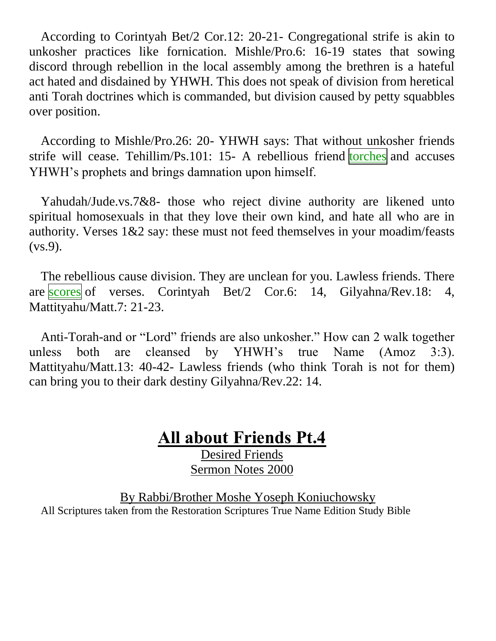According to Corintyah Bet/2 Cor.12: 20-21- Congregational strife is akin to unkosher practices like fornication. Mishle/Pro.6: 16-19 states that sowing discord through rebellion in the local assembly among the brethren is a hateful act hated and disdained by YHWH. This does not speak of division from heretical anti Torah doctrines which is commanded, but division caused by petty squabbles over position.

According to Mishle/Pro.26: 20- YHWH says: That without unkosher friends strife will cease. Tehillim/Ps.101: 15- A rebellious friend torches and accuses YHWH's prophets and brings damnation upon himself.

Yahudah/Jude.vs.7&8- those who reject divine authority are likened unto spiritual homosexuals in that they love their own kind, and hate all who are in authority. Verses 1&2 say: these must not feed themselves in your moadim/feasts (vs.9).

The rebellious cause division. They are unclean for you. Lawless friends. There are scores of verses. Corintyah Bet/2 Cor.6: 14, Gilyahna/Rev.18: 4, Mattityahu/Matt.7: 21-23.

Anti-Torah-and or "Lord" friends are also unkosher." How can 2 walk together unless both are cleansed by YHWH's true Name (Amoz 3:3). Mattityahu/Matt.13: 40-42- Lawless friends (who think Torah is not for them) can bring you to their dark destiny Gilyahna/Rev.22: 14.

## **All about Friends Pt.4**

Desired Friends Sermon Notes 2000

By Rabbi/Brother Moshe Yoseph Koniuchowsky All Scriptures taken from the Restoration Scriptures True Name Edition Study Bible